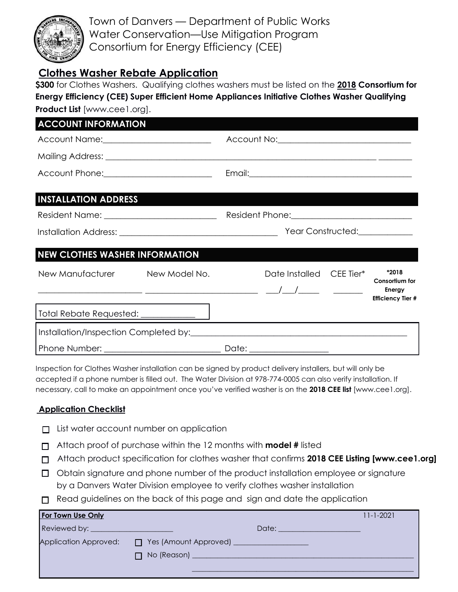

Town of Danvers — Department of Public Works Water Conservation—Use Mitigation Program Consortium for Energy Efficiency (CEE)

## **Clothes Washer Rebate Application**

**\$300** for Clothes Washers. Qualifying clothes washers must be listed on the **2018 Consortium for Energy Efficiency (CEE) Super Efficient Home Appliances Initiative Clothes Washer Qualifying Product List** [www.cee1.org].

| <b>ACCOUNT INFORMATION</b>              |  |                              |                                                  |  |                                                      |
|-----------------------------------------|--|------------------------------|--------------------------------------------------|--|------------------------------------------------------|
| Account Name: ________________________  |  |                              | Account No: <u>_____________________________</u> |  |                                                      |
|                                         |  |                              |                                                  |  |                                                      |
| Account Phone: ________________________ |  |                              |                                                  |  |                                                      |
| <b>INSTALLATION ADDRESS</b>             |  |                              |                                                  |  |                                                      |
|                                         |  |                              |                                                  |  |                                                      |
|                                         |  | Year Constructed:___________ |                                                  |  |                                                      |
| <b>NEW CLOTHES WASHER INFORMATION</b>   |  |                              |                                                  |  |                                                      |
| New Manufacturer New Model No.          |  |                              | Date Installed CEE Tier*                         |  | *2018                                                |
|                                         |  |                              |                                                  |  | Consortium for<br>Energy<br><b>Efficiency Tier #</b> |
|                                         |  |                              |                                                  |  |                                                      |
|                                         |  |                              |                                                  |  |                                                      |
|                                         |  |                              | Date: __________________                         |  |                                                      |

Inspection for Clothes Washer installation can be signed by product delivery installers, but will only be accepted if a phone number is filled out. The Water Division at 978-774-0005 can also verify installation. If necessary, call to make an appointment once you've verified washer is on the **2018 CEE list** [www.cee1.org].

## **Application Checklist**

- □ List water account number on application
- Attach proof of purchase within the 12 months with **model #** listed
- Attach product specification for clothes washer that confirms **2018 CEE Listing [www.cee1.org]**
- $\Box$  Obtain signature and phone number of the product installation employee or signature by a Danvers Water Division employee to verify clothes washer installation
- $\Box$  Read guidelines on the back of this page and sign and date the application

| For Town Use Only     |                                                                                               | $11 - 1 - 2021$ |
|-----------------------|-----------------------------------------------------------------------------------------------|-----------------|
|                       |                                                                                               |                 |
| Application Approved: | T Yes (Amount Approved) ____________________<br>□ No (Reason) <u>________________________</u> |                 |